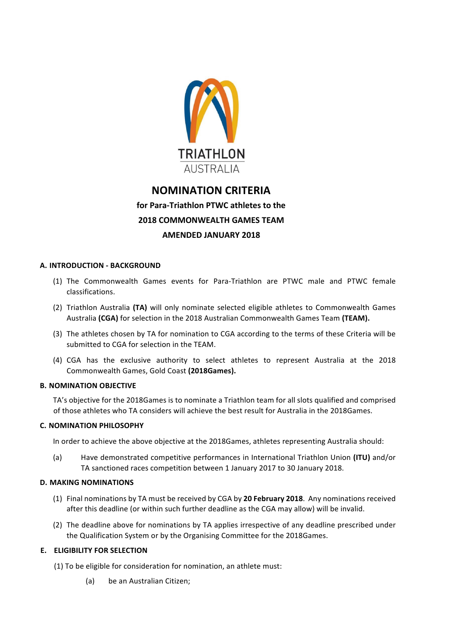

# **NOMINATION CRITERIA for Para-Triathlon PTWC athletes to the 2018 COMMONWEALTH GAMES TEAM AMENDED JANUARY 2018**

# **A. INTRODUCTION - BACKGROUND**

- (1) The Commonwealth Games events for Para-Triathlon are PTWC male and PTWC female classifications.
- (2) Triathlon Australia (TA) will only nominate selected eligible athletes to Commonwealth Games Australia (CGA) for selection in the 2018 Australian Commonwealth Games Team (TEAM).
- (3) The athletes chosen by TA for nomination to CGA according to the terms of these Criteria will be submitted to CGA for selection in the TEAM.
- (4) CGA has the exclusive authority to select athletes to represent Australia at the 2018 Commonwealth Games, Gold Coast **(2018Games).**

## **B.** NOMINATION OBJECTIVE

TA's objective for the 2018Games is to nominate a Triathlon team for all slots qualified and comprised of those athletes who TA considers will achieve the best result for Australia in the 2018Games.

## **C. NOMINATION PHILOSOPHY**

In order to achieve the above objective at the 2018Games, athletes representing Australia should:

(a) Have demonstrated competitive performances in International Triathlon Union (ITU) and/or TA sanctioned races competition between 1 January 2017 to 30 January 2018.

#### **D. MAKING NOMINATIONS**

- (1) Final nominations by TA must be received by CGA by 20 February 2018. Any nominations received after this deadline (or within such further deadline as the CGA may allow) will be invalid.
- (2) The deadline above for nominations by TA applies irrespective of any deadline prescribed under the Qualification System or by the Organising Committee for the 2018Games.

## **E. ELIGIBILITY FOR SELECTION**

- (1) To be eligible for consideration for nomination, an athlete must:
	- (a) be an Australian Citizen;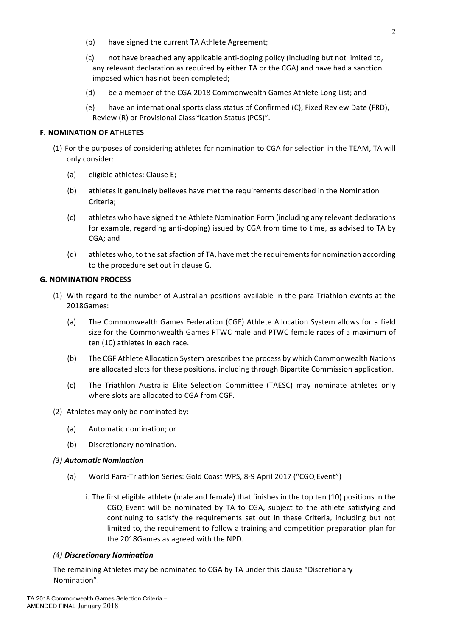- (b) have signed the current TA Athlete Agreement;
- (c) not have breached any applicable anti-doping policy (including but not limited to, any relevant declaration as required by either TA or the CGA) and have had a sanction imposed which has not been completed;
- (d) be a member of the CGA 2018 Commonwealth Games Athlete Long List; and
- (e) have an international sports class status of Confirmed (C), Fixed Review Date (FRD), Review (R) or Provisional Classification Status (PCS)".

#### **F. NOMINATION OF ATHLETES**

- (1) For the purposes of considering athletes for nomination to CGA for selection in the TEAM, TA will only consider:
	- (a) eligible athletes: Clause E;
	- (b) athletes it genuinely believes have met the requirements described in the Nomination Criteria;
	- (c) athletes who have signed the Athlete Nomination Form (including any relevant declarations for example, regarding anti-doping) issued by CGA from time to time, as advised to TA by CGA; and
	- (d) athletes who, to the satisfaction of TA, have met the requirements for nomination according to the procedure set out in clause G.

## **G. NOMINATION PROCESS**

- (1) With regard to the number of Australian positions available in the para-Triathlon events at the 2018Games:
	- (a) The Commonwealth Games Federation (CGF) Athlete Allocation System allows for a field size for the Commonwealth Games PTWC male and PTWC female races of a maximum of ten (10) athletes in each race.
	- (b) The CGF Athlete Allocation System prescribes the process by which Commonwealth Nations are allocated slots for these positions, including through Bipartite Commission application.
	- (c) The Triathlon Australia Elite Selection Committee (TAESC) may nominate athletes only where slots are allocated to CGA from CGF.
- (2) Athletes may only be nominated by:
	- (a) Automatic nomination; or
	- (b) Discretionary nomination.

#### *(3) Automatic Nomination*

- (a) World Para-Triathlon Series: Gold Coast WPS, 8-9 April 2017 ("CGQ Event")
	- i. The first eligible athlete (male and female) that finishes in the top ten (10) positions in the CGQ Event will be nominated by TA to CGA, subject to the athlete satisfying and continuing to satisfy the requirements set out in these Criteria, including but not limited to, the requirement to follow a training and competition preparation plan for the 2018Games as agreed with the NPD.

#### *(4) Discretionary Nomination*

The remaining Athletes may be nominated to CGA by TA under this clause "Discretionary Nomination".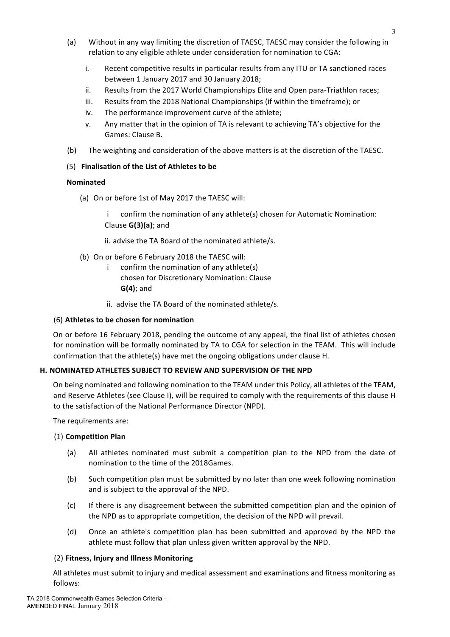- (a) Without in any way limiting the discretion of TAESC, TAESC may consider the following in relation to any eligible athlete under consideration for nomination to CGA:
	- i. Recent competitive results in particular results from any ITU or TA sanctioned races between 1 January 2017 and 30 January 2018;
	- ii. Results from the 2017 World Championships Elite and Open para-Triathlon races;
	- iii. Results from the 2018 National Championships (if within the timeframe); or
	- iv. The performance improvement curve of the athlete;
	- v. Any matter that in the opinion of TA is relevant to achieving TA's objective for the Games: Clause B.
- (b) The weighting and consideration of the above matters is at the discretion of the TAESC.

## (5) **Finalisation of the List of Athletes to be**

## **Nominated**

(a) On or before 1st of May 2017 the TAESC will:

confirm the nomination of any athlete(s) chosen for Automatic Nomination: Clause **G(3)(a)**; and 

ii. advise the TA Board of the nominated athlete/s.

- (b) On or before 6 February 2018 the TAESC will:
	- $i$  confirm the nomination of any athlete(s) chosen for Discretionary Nomination: Clause **G(4)**; and
	- ii. advise the TA Board of the nominated athlete/s.

## (6) Athletes to be chosen for nomination

On or before 16 February 2018, pending the outcome of any appeal, the final list of athletes chosen for nomination will be formally nominated by TA to CGA for selection in the TEAM. This will include confirmation that the athlete(s) have met the ongoing obligations under clause H.

## **H. NOMINATED ATHLETES SUBJECT TO REVIEW AND SUPERVISION OF THE NPD**

On being nominated and following nomination to the TEAM under this Policy, all athletes of the TEAM, and Reserve Athletes (see Clause I), will be required to comply with the requirements of this clause H to the satisfaction of the National Performance Director (NPD).

The requirements are:

## (1) **Competition Plan**

- (a) All athletes nominated must submit a competition plan to the NPD from the date of nomination to the time of the 2018Games.
- (b) Such competition plan must be submitted by no later than one week following nomination and is subject to the approval of the NPD.
- (c) If there is any disagreement between the submitted competition plan and the opinion of the NPD as to appropriate competition, the decision of the NPD will prevail.
- (d) Once an athlete's competition plan has been submitted and approved by the NPD the athlete must follow that plan unless given written approval by the NPD.

## (2) Fitness, Injury and Illness Monitoring

All athletes must submit to injury and medical assessment and examinations and fitness monitoring as follows: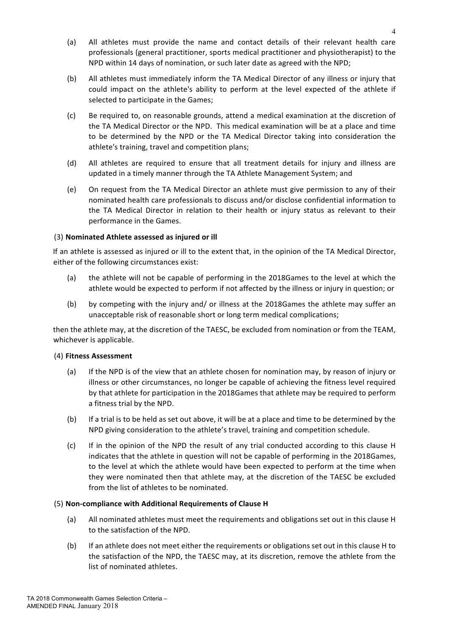- (a) All athletes must provide the name and contact details of their relevant health care professionals (general practitioner, sports medical practitioner and physiotherapist) to the NPD within 14 days of nomination, or such later date as agreed with the NPD;
- (b) All athletes must immediately inform the TA Medical Director of any illness or injury that could impact on the athlete's ability to perform at the level expected of the athlete if selected to participate in the Games;
- (c) Be required to, on reasonable grounds, attend a medical examination at the discretion of the TA Medical Director or the NPD. This medical examination will be at a place and time to be determined by the NPD or the TA Medical Director taking into consideration the athlete's training, travel and competition plans;
- (d) All athletes are required to ensure that all treatment details for injury and illness are updated in a timely manner through the TA Athlete Management System; and
- (e) On request from the TA Medical Director an athlete must give permission to any of their nominated health care professionals to discuss and/or disclose confidential information to the TA Medical Director in relation to their health or injury status as relevant to their performance in the Games.

## (3) **Nominated Athlete assessed as injured or ill**

If an athlete is assessed as injured or ill to the extent that, in the opinion of the TA Medical Director, either of the following circumstances exist:

- (a) the athlete will not be capable of performing in the 2018Games to the level at which the athlete would be expected to perform if not affected by the illness or injury in question; or
- (b) by competing with the injury and/ or illness at the 2018Games the athlete may suffer an unacceptable risk of reasonable short or long term medical complications;

then the athlete may, at the discretion of the TAESC, be excluded from nomination or from the TEAM, whichever is applicable.

## (4) **Fitness Assessment**

- (a) If the NPD is of the view that an athlete chosen for nomination may, by reason of injury or illness or other circumstances, no longer be capable of achieving the fitness level required by that athlete for participation in the 2018Games that athlete may be required to perform a fitness trial by the NPD.
- (b) If a trial is to be held as set out above, it will be at a place and time to be determined by the NPD giving consideration to the athlete's travel, training and competition schedule.
- (c) If in the opinion of the NPD the result of any trial conducted according to this clause H indicates that the athlete in question will not be capable of performing in the 2018Games, to the level at which the athlete would have been expected to perform at the time when they were nominated then that athlete may, at the discretion of the TAESC be excluded from the list of athletes to be nominated.

## (5) Non-compliance with Additional Requirements of Clause H

- (a) All nominated athletes must meet the requirements and obligations set out in this clause H to the satisfaction of the NPD.
- (b) If an athlete does not meet either the requirements or obligations set out in this clause H to the satisfaction of the NPD, the TAESC may, at its discretion, remove the athlete from the list of nominated athletes.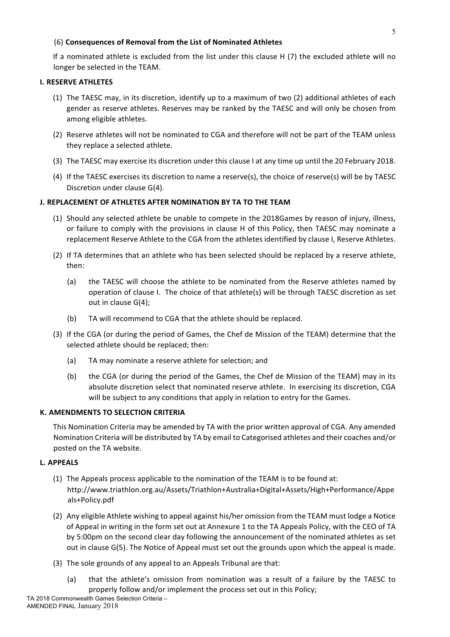## (6) Consequences of Removal from the List of Nominated Athletes

If a nominated athlete is excluded from the list under this clause  $H(7)$  the excluded athlete will no longer be selected in the TEAM.

# **I.** RESERVE ATHLETES

- (1) The TAESC may, in its discretion, identify up to a maximum of two (2) additional athletes of each gender as reserve athletes. Reserves may be ranked by the TAESC and will only be chosen from among eligible athletes.
- (2) Reserve athletes will not be nominated to CGA and therefore will not be part of the TEAM unless they replace a selected athlete.
- (3) The TAESC may exercise its discretion under this clause I at any time up until the 20 February 2018.
- (4) If the TAESC exercises its discretion to name a reserve(s), the choice of reserve(s) will be by TAESC Discretion under clause G(4).

# **J. REPLACEMENT OF ATHLETES AFTER NOMINATION BY TA TO THE TEAM**

- (1) Should any selected athlete be unable to compete in the 2018Games by reason of injury, illness, or failure to comply with the provisions in clause H of this Policy, then TAESC may nominate a replacement Reserve Athlete to the CGA from the athletes identified by clause I, Reserve Athletes.
- (2) If TA determines that an athlete who has been selected should be replaced by a reserve athlete, then:
	- (a) the TAESC will choose the athlete to be nominated from the Reserve athletes named by operation of clause I. The choice of that athlete(s) will be through TAESC discretion as set out in clause  $G(4)$ ;
	- (b) TA will recommend to CGA that the athlete should be replaced.
- (3) If the CGA (or during the period of Games, the Chef de Mission of the TEAM) determine that the selected athlete should be replaced; then:
	- (a) TA may nominate a reserve athlete for selection; and
	- (b) the CGA (or during the period of the Games, the Chef de Mission of the TEAM) may in its absolute discretion select that nominated reserve athlete. In exercising its discretion, CGA will be subject to any conditions that apply in relation to entry for the Games.

## **K. AMENDMENTS TO SELECTION CRITERIA**

This Nomination Criteria may be amended by TA with the prior written approval of CGA. Any amended Nomination Criteria will be distributed by TA by email to Categorised athletes and their coaches and/or posted on the TA website.

## **L. APPEALS**

- (1) The Appeals process applicable to the nomination of the TEAM is to be found at: http://www.triathlon.org.au/Assets/Triathlon+Australia+Digital+Assets/High+Performance/Appe als+Policy.pdf
- (2) Any eligible Athlete wishing to appeal against his/her omission from the TEAM must lodge a Notice of Appeal in writing in the form set out at Annexure 1 to the TA Appeals Policy, with the CEO of TA by 5:00pm on the second clear day following the announcement of the nominated athletes as set out in clause G(5). The Notice of Appeal must set out the grounds upon which the appeal is made.
- (3) The sole grounds of any appeal to an Appeals Tribunal are that:
	- (a) that the athlete's omission from nomination was a result of a failure by the TAESC to properly follow and/or implement the process set out in this Policy;